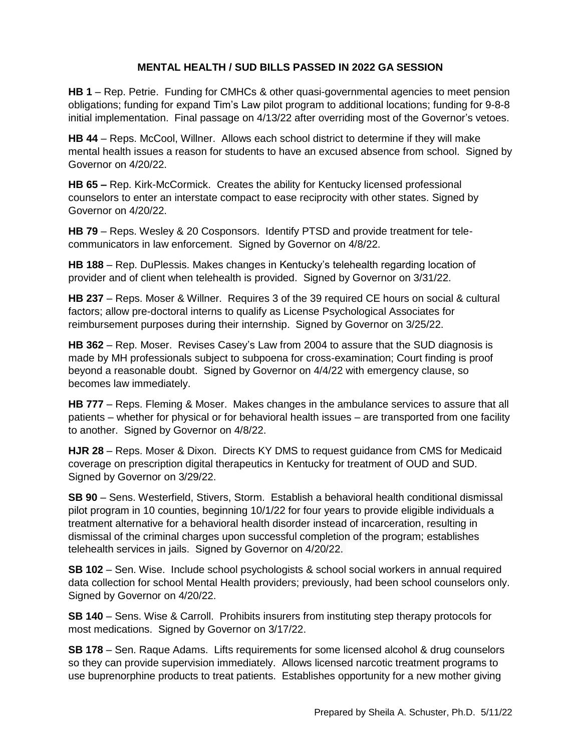## **MENTAL HEALTH / SUD BILLS PASSED IN 2022 GA SESSION**

**HB 1** – Rep. Petrie. Funding for CMHCs & other quasi-governmental agencies to meet pension obligations; funding for expand Tim's Law pilot program to additional locations; funding for 9-8-8 initial implementation. Final passage on 4/13/22 after overriding most of the Governor's vetoes.

**HB 44** – Reps. McCool, Willner. Allows each school district to determine if they will make mental health issues a reason for students to have an excused absence from school. Signed by Governor on 4/20/22.

**HB 65 –** Rep. Kirk-McCormick.Creates the ability for Kentucky licensed professional counselors to enter an interstate compact to ease reciprocity with other states. Signed by Governor on 4/20/22.

**HB 79** – Reps. Wesley & 20 Cosponsors. Identify PTSD and provide treatment for telecommunicators in law enforcement. Signed by Governor on 4/8/22.

**HB 188** – Rep. DuPlessis. Makes changes in Kentucky's telehealth regarding location of provider and of client when telehealth is provided. Signed by Governor on 3/31/22.

**HB 237** – Reps. Moser & Willner. Requires 3 of the 39 required CE hours on social & cultural factors; allow pre-doctoral interns to qualify as License Psychological Associates for reimbursement purposes during their internship. Signed by Governor on 3/25/22.

**HB 362** – Rep. Moser. Revises Casey's Law from 2004 to assure that the SUD diagnosis is made by MH professionals subject to subpoena for cross-examination; Court finding is proof beyond a reasonable doubt. Signed by Governor on 4/4/22 with emergency clause, so becomes law immediately.

**HB 777** – Reps. Fleming & Moser. Makes changes in the ambulance services to assure that all patients – whether for physical or for behavioral health issues – are transported from one facility to another. Signed by Governor on 4/8/22.

**HJR 28** – Reps. Moser & Dixon. Directs KY DMS to request guidance from CMS for Medicaid coverage on prescription digital therapeutics in Kentucky for treatment of OUD and SUD. Signed by Governor on 3/29/22.

**SB 90** – Sens. Westerfield, Stivers, Storm. Establish a behavioral health conditional dismissal pilot program in 10 counties, beginning 10/1/22 for four years to provide eligible individuals a treatment alternative for a behavioral health disorder instead of incarceration, resulting in dismissal of the criminal charges upon successful completion of the program; establishes telehealth services in jails. Signed by Governor on 4/20/22.

**SB 102** – Sen. Wise.Include school psychologists & school social workers in annual required data collection for school Mental Health providers; previously, had been school counselors only. Signed by Governor on 4/20/22.

**SB 140** – Sens. Wise & Carroll. Prohibits insurers from instituting step therapy protocols for most medications. Signed by Governor on 3/17/22.

**SB 178** – Sen. Raque Adams. Lifts requirements for some licensed alcohol & drug counselors so they can provide supervision immediately. Allows licensed narcotic treatment programs to use buprenorphine products to treat patients. Establishes opportunity for a new mother giving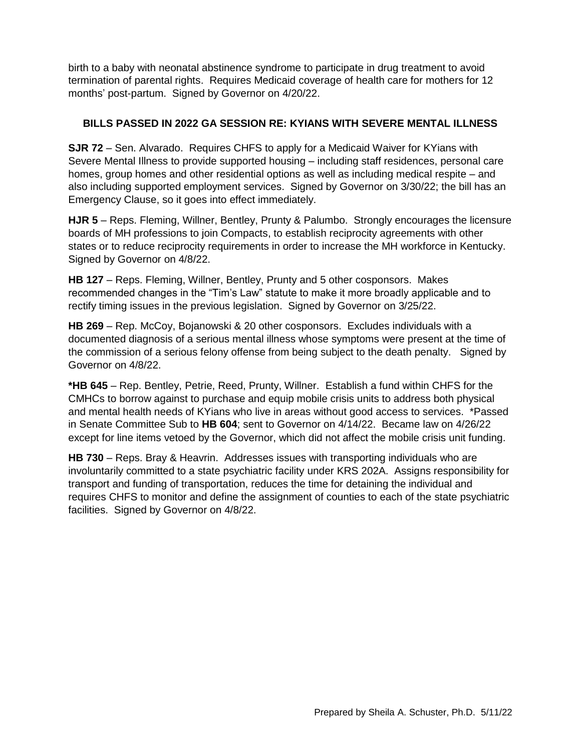birth to a baby with neonatal abstinence syndrome to participate in drug treatment to avoid termination of parental rights. Requires Medicaid coverage of health care for mothers for 12 months' post-partum. Signed by Governor on 4/20/22.

## **BILLS PASSED IN 2022 GA SESSION RE: KYIANS WITH SEVERE MENTAL ILLNESS**

**SJR 72** – Sen. Alvarado. Requires CHFS to apply for a Medicaid Waiver for KYians with Severe Mental Illness to provide supported housing – including staff residences, personal care homes, group homes and other residential options as well as including medical respite – and also including supported employment services. Signed by Governor on 3/30/22; the bill has an Emergency Clause, so it goes into effect immediately.

**HJR 5** – Reps. Fleming, Willner, Bentley, Prunty & Palumbo. Strongly encourages the licensure boards of MH professions to join Compacts, to establish reciprocity agreements with other states or to reduce reciprocity requirements in order to increase the MH workforce in Kentucky. Signed by Governor on 4/8/22.

**HB 127** – Reps. Fleming, Willner, Bentley, Prunty and 5 other cosponsors. Makes recommended changes in the "Tim's Law" statute to make it more broadly applicable and to rectify timing issues in the previous legislation. Signed by Governor on 3/25/22.

**HB 269** – Rep. McCoy, Bojanowski & 20 other cosponsors. Excludes individuals with a documented diagnosis of a serious mental illness whose symptoms were present at the time of the commission of a serious felony offense from being subject to the death penalty. Signed by Governor on 4/8/22.

**\*HB 645** – Rep. Bentley, Petrie, Reed, Prunty, Willner. Establish a fund within CHFS for the CMHCs to borrow against to purchase and equip mobile crisis units to address both physical and mental health needs of KYians who live in areas without good access to services. \*Passed in Senate Committee Sub to **HB 604**; sent to Governor on 4/14/22. Became law on 4/26/22 except for line items vetoed by the Governor, which did not affect the mobile crisis unit funding.

**HB 730** – Reps. Bray & Heavrin. Addresses issues with transporting individuals who are involuntarily committed to a state psychiatric facility under KRS 202A. Assigns responsibility for transport and funding of transportation, reduces the time for detaining the individual and requires CHFS to monitor and define the assignment of counties to each of the state psychiatric facilities. Signed by Governor on 4/8/22.